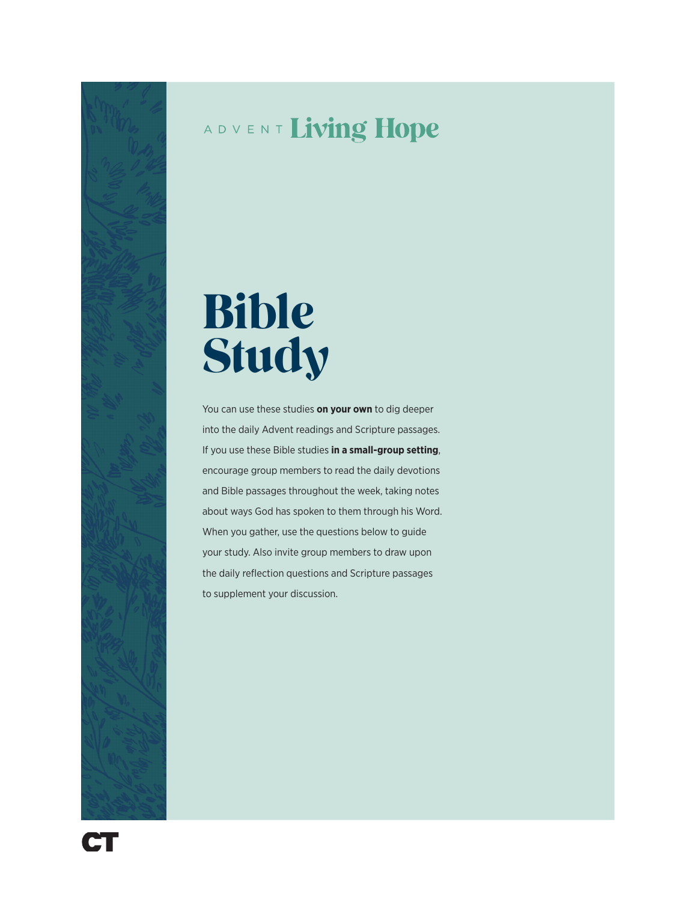## ADVENT Living Hope

# Bible Study

You can use these studies **on your own** to dig deeper into the daily Advent readings and Scripture passages. If you use these Bible studies **in a small-group setting**, encourage group members to read the daily devotions and Bible passages throughout the week, taking notes about ways God has spoken to them through his Word. When you gather, use the questions below to guide your study. Also invite group members to draw upon the daily reflection questions and Scripture passages to supplement your discussion.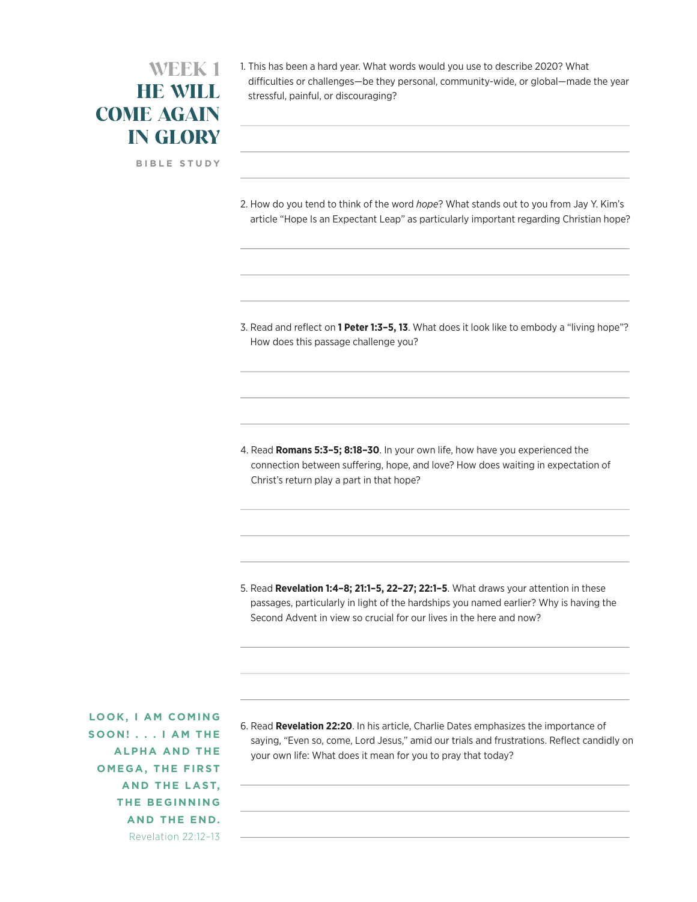### WEEK 1 HE WILL COME AGAIN IN GLORY

**BIBLE STUDY**

1. This has been a hard year. What words would you use to describe 2020? What difficulties or challenges—be they personal, community-wide, or global—made the year stressful, painful, or discouraging?

2. How do you tend to think of the word *hope*? What stands out to you from Jay Y. Kim's article "Hope Is an Expectant Leap" as particularly important regarding Christian hope?

3. Read and reflect on **1 Peter 1:3–5, 13**. What does it look like to embody a "living hope"? How does this passage challenge you?

4. Read **Romans 5:3–5; 8:18–30**. In your own life, how have you experienced the connection between suffering, hope, and love? How does waiting in expectation of Christ's return play a part in that hope?

5. Read **Revelation 1:4–8; 21:1–5, 22–27; 22:1–5**. What draws your attention in these passages, particularly in light of the hardships you named earlier? Why is having the Second Advent in view so crucial for our lives in the here and now?

**LOOK, I AM COMING SOON! . . . I AM THE ALPHA AND THE OMEGA, THE FIRST AND THE LAST, THE BEGINNING AND THE END.**  Revelation 22:12–13

6. Read **Revelation 22:20**. In his article, Charlie Dates emphasizes the importance of saying, "Even so, come, Lord Jesus," amid our trials and frustrations. Reflect candidly on your own life: What does it mean for you to pray that today?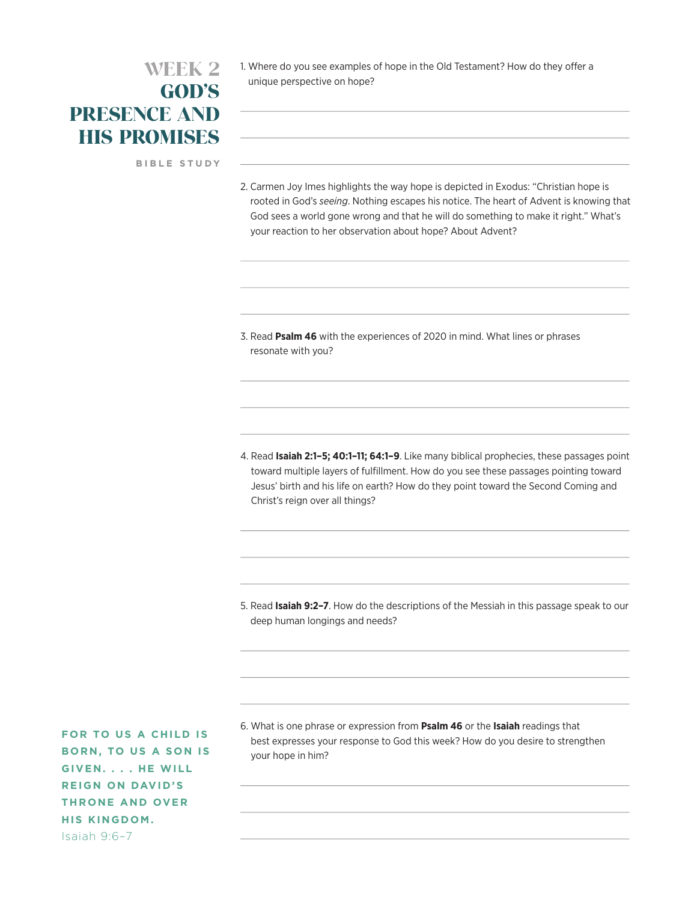#### WEEK 2 GOD'S PRESENCE AND HIS PROMISES

**BIBLE STUDY**

1. Where do you see examples of hope in the Old Testament? How do they offer a unique perspective on hope?

2. Carmen Joy Imes highlights the way hope is depicted in Exodus: "Christian hope is rooted in God's *seeing*. Nothing escapes his notice. The heart of Advent is knowing that God sees a world gone wrong and that he will do something to make it right." What's your reaction to her observation about hope? About Advent?

3. Read **Psalm 46** with the experiences of 2020 in mind. What lines or phrases resonate with you?

4. Read **Isaiah 2:1–5; 40:1–11; 64:1–9**. Like many biblical prophecies, these passages point toward multiple layers of fulfillment. How do you see these passages pointing toward Jesus' birth and his life on earth? How do they point toward the Second Coming and Christ's reign over all things?

5. Read **Isaiah 9:2–7**. How do the descriptions of the Messiah in this passage speak to our deep human longings and needs?

6. What is one phrase or expression from **Psalm 46** or the **Isaiah** readings that best expresses your response to God this week? How do you desire to strengthen your hope in him?

**FOR TO US A CHILD IS BORN, TO US A SON IS GIVEN. . . . HE WILL REIGN ON DAVID'S THRONE AND OVER HIS KINGDOM.** Isaiah 9:6–7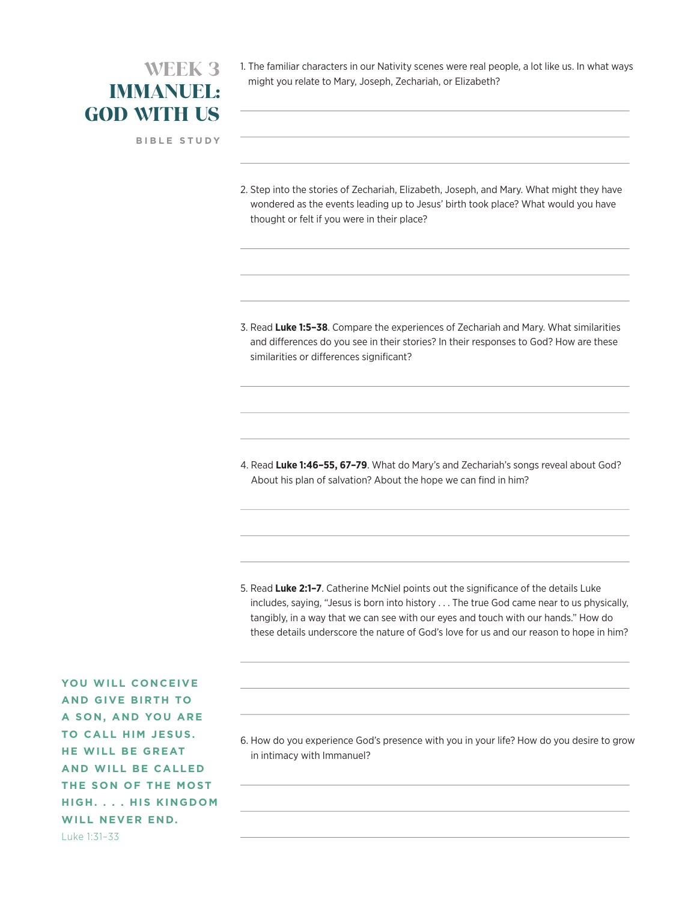#### WEEK 3 IMMANUEL: GOD WITH US

**BIBLE STUDY**

1. The familiar characters in our Nativity scenes were real people, a lot like us. In what ways might you relate to Mary, Joseph, Zechariah, or Elizabeth?

2. Step into the stories of Zechariah, Elizabeth, Joseph, and Mary. What might they have wondered as the events leading up to Jesus' birth took place? What would you have thought or felt if you were in their place?

3. Read **Luke 1:5–38**. Compare the experiences of Zechariah and Mary. What similarities and differences do you see in their stories? In their responses to God? How are these similarities or differences significant?

4. Read **Luke 1:46–55, 67–79**. What do Mary's and Zechariah's songs reveal about God? About his plan of salvation? About the hope we can find in him?

5. Read **Luke 2:1–7**. Catherine McNiel points out the significance of the details Luke includes, saying, "Jesus is born into history . . . The true God came near to us physically, tangibly, in a way that we can see with our eyes and touch with our hands." How do these details underscore the nature of God's love for us and our reason to hope in him?

**YOU WILL CONCEIVE AND GIVE BIRTH TO A SON, AND YOU ARE TO CALL HIM JESUS. HE WILL BE GREAT AND WILL BE CALLED THE SON OF THE MOST HIGH. . . . HIS KINGDOM WILL NEVER END.** Luke 1:31–33

6. How do you experience God's presence with you in your life? How do you desire to grow in intimacy with Immanuel?